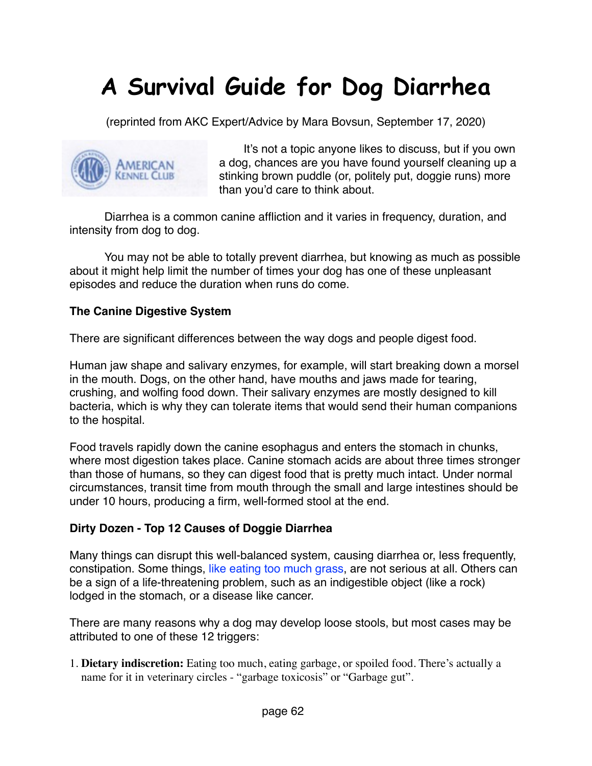# **A Survival Guide for Dog Diarrhea**

(reprinted from AKC Expert/Advice by Mara Bovsun, September 17, 2020)



It's not a topic anyone likes to discuss, but if you own a dog, chances are you have found yourself cleaning up a stinking brown puddle (or, politely put, doggie runs) more than you'd care to think about.

Diarrhea is a common canine affliction and it varies in frequency, duration, and intensity from dog to dog.

You may not be able to totally prevent diarrhea, but knowing as much as possible about it might help limit the number of times your dog has one of these unpleasant episodes and reduce the duration when runs do come.

### **The Canine Digestive System**

There are significant differences between the way dogs and people digest food.

Human jaw shape and salivary enzymes, for example, will start breaking down a morsel in the mouth. Dogs, on the other hand, have mouths and jaws made for tearing, crushing, and wolfing food down. Their salivary enzymes are mostly designed to kill bacteria, which is why they can tolerate items that would send their human companions to the hospital.

Food travels rapidly down the canine esophagus and enters the stomach in chunks, where most digestion takes place. Canine stomach acids are about three times stronger than those of humans, so they can digest food that is pretty much intact. Under normal circumstances, transit time from mouth through the small and large intestines should be under 10 hours, producing a firm, well-formed stool at the end.

#### **Dirty Dozen - Top 12 Causes of Doggie Diarrhea**

Many things can disrupt this well-balanced system, causing diarrhea or, less frequently, constipation. Some things, like eating too much grass, are not serious at all. Others can be a sign of a life-threatening problem, such as an indigestible object (like a rock) lodged in the stomach, or a disease like cancer.

There are many reasons why a dog may develop loose stools, but most cases may be attributed to one of these 12 triggers[:](https://www.akc.org/)

1. **Dietary indiscretion:** Eating too much, eating garbage, or spoiled food. There's actually a name for it in veterinary circles - "garbage toxicosis" or "Garbage gut".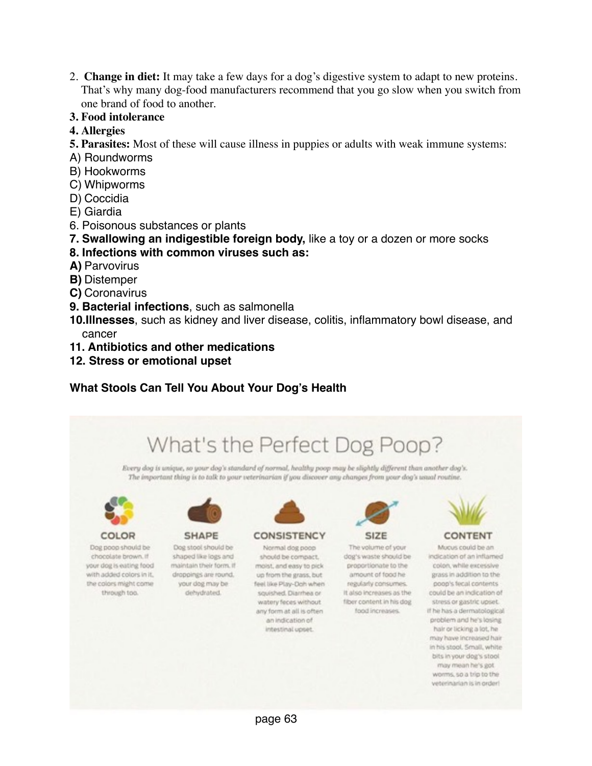- 2. **Change in diet:** It may take a few days for a dog's digestive system to adapt to new proteins. That's why many dog-food manufacturers recommend that you go slow when you switch from one brand of food to another.
- **3. Food intolerance**
- **4. Allergies**
- **5. Parasites:** Most of these will cause illness in puppies or adults with weak immune systems:
- A) Roundworms
- B) Hookworms
- C) Whipworms
- D) Coccidia
- E) Giardia
- 6. Poisonous substances or plants
- **7. Swallowing an indigestible foreign body,** like a toy or a dozen or more socks

#### **8. Infections with common viruses such as:**

- **A)** Parvovirus
- **B)** Distemper
- **C)** Coronavirus
- **9. Bacterial infections**, such as salmonella
- **10.Illnesses**, such as kidney and liver disease, colitis, inflammatory bowl disease, and cancer
- **11. Antibiotics and other medications**
- **12. Stress or emotional upset**

## **What Stools Can Tell You About Your Dog's Health**

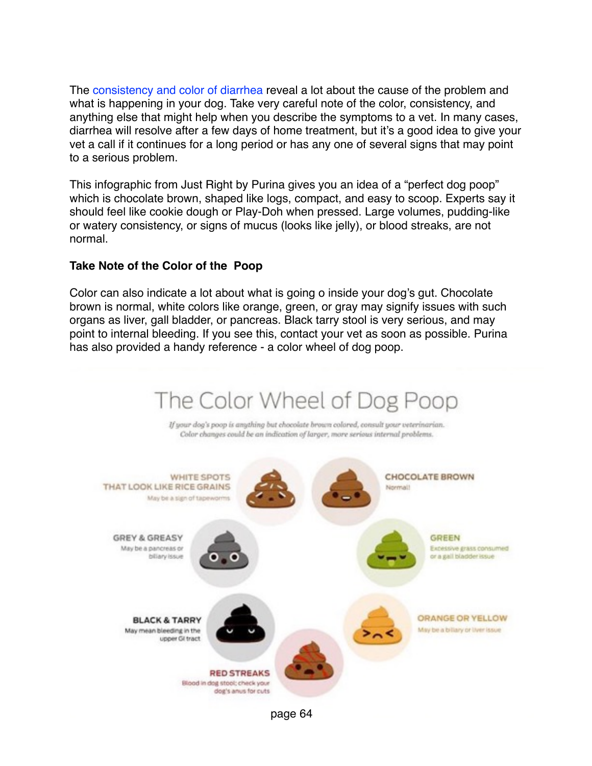The consistency and color of diarrhea reveal a lot about the cause of the problem and what is happening in your dog. Take very careful note of the color, consistency, and anything else that might help when you describe the symptoms to a vet. In many cases, diarrhea will resolve after a few days of home treatment, but it's a good idea to give your vet a call if it continues for a long period or has any one of several signs that may point to a serious problem.

This infographic from Just Right by Purina gives you an idea of a "perfect dog poop" which is chocolate brown, shaped like logs, compact, and easy to scoop. Experts say it should feel like cookie dough or Play-Doh when pressed. Large volumes, pudding-like or watery consistency, or signs of mucus (looks like jelly), or blood streaks, are not normal.

### **Take Note of the Color of the Poop**

Color can also indicate a lot about what is going o inside your dog's gut. Chocolate brown is normal, white colors like orange, green, or gray may signify issues with such organs as liver, gall bladder, or pancreas. Black tarry stool is very serious, and may point to internal bleeding. If you see this, contact your vet as soon as possible. Purina has also provided a handy reference - a color wheel of dog poop.

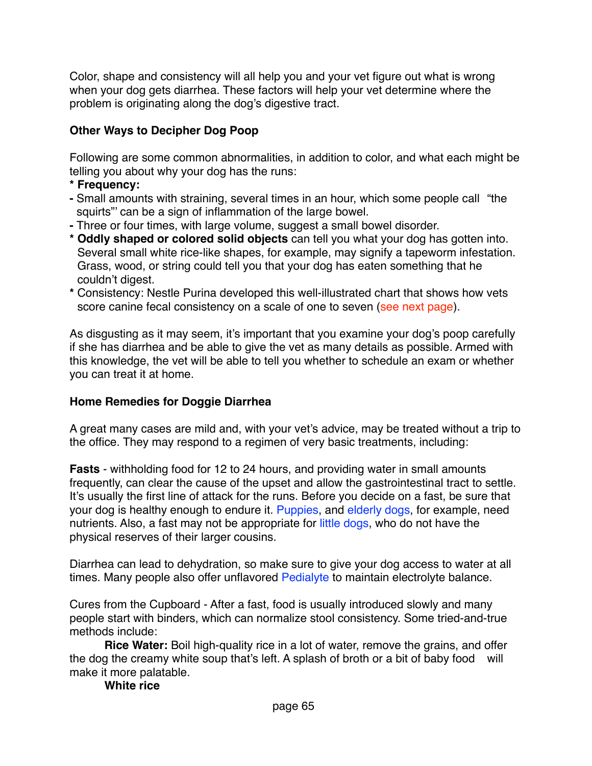Color, shape and consistency will all help you and your vet figure out what is wrong when your dog gets diarrhea. These factors will help your vet determine where the problem is originating along the dog's digestive tract.

# **Other Ways to Decipher Dog Poop**

Following are some common abnormalities, in addition to color, and what each might be telling you about why your dog has the runs:

- **\* Frequency:**
- **-** Small amounts with straining, several times in an hour, which some people call "the squirts"' can be a sign of inflammation of the large bowel.
- **-** Three or four times, with large volume, suggest a small bowel disorder.
- **\* Oddly shaped or colored solid objects** can tell you what your dog has gotten into. Several small white rice-like shapes, for example, may signify a tapeworm infestation. Grass, wood, or string could tell you that your dog has eaten something that he couldn't digest.
- **\*** Consistency: Nestle Purina developed this well-illustrated chart that shows how vets score canine fecal consistency on a scale of one to seven (see next page).

As disgusting as it may seem, it's important that you examine your dog's poop carefully if she has diarrhea and be able to give the vet as many details as possible. Armed with this knowledge, the vet will be able to tell you whether to schedule an exam or whether you can treat it at home.

# **Home Remedies for Doggie Diarrhea**

A great many cases are mild and, with your vet's advice, may be treated without a trip to the office. They may respond to a regimen of very basic treatments, including:

**Fasts** - withholding food for 12 to 24 hours, and providing water in small amounts frequently, can clear the cause of the upset and allow the gastrointestinal tract to settle. It's usually the first line of attack for the runs. Before you decide on a fast, be sure that your dog is healthy enough to endure it. Puppies, and elderly dogs, for example, need nutrients. Also, a fast may not be appropriate for little dogs, who do not have the physical reserves of their larger cousins.

Diarrhea can lead to dehydration, so make sure to give your dog access to water at all times. Many people also offer unflavored Pedialyte to maintain electrolyte balance.

Cures from the Cupboard - After a fast, food is usually introduced slowly and many people start with binders, which can normalize stool consistency. Some tried-and-true methods include:

**Rice Water:** Boil high-quality rice in a lot of water, remove the grains, and offer the dog the creamy white soup that's left. A splash of broth or a bit of baby food will make it more palatable.

#### **White rice**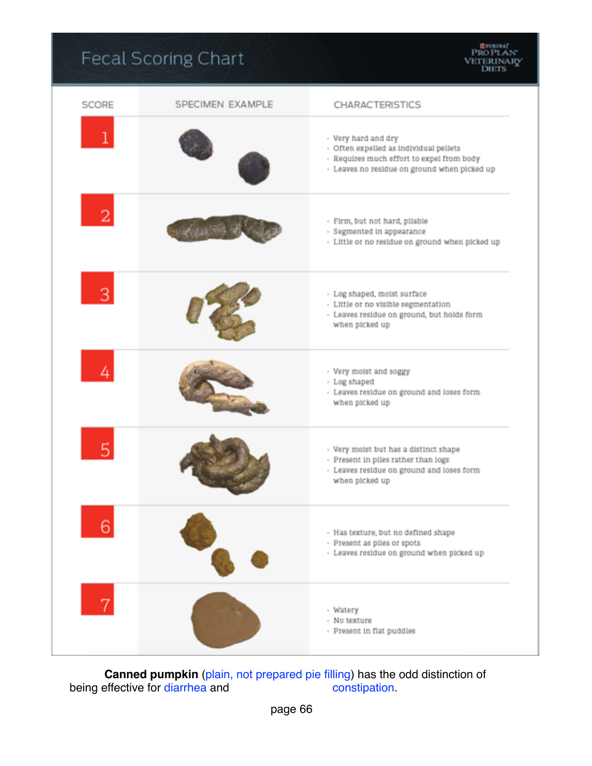# Fecal Scoring Chart

| SCORE          | SPECIMEN EXAMPLE | CHARACTERISTICS                                                                                                                                            |
|----------------|------------------|------------------------------------------------------------------------------------------------------------------------------------------------------------|
|                |                  | - Very hard and dry<br>- Often expelled as individual pellets<br>- Requires much effort to expel from body<br>- Leaves no residue on ground when picked up |
| $\overline{2}$ |                  | - Firm, but not hard, pliable<br>- Segmented in appearance<br>- Little or no residue on ground when picked up                                              |
|                |                  | - Log shaped, moist surface<br>- Little or no visible segmentation<br>- Leaves residue on ground, but holds form<br>when picked up                         |
|                |                  | - Very moist and soggy<br>- Log shaped<br>- Leaves residue on ground and loses form<br>when picked up                                                      |
| 5              |                  | - Very moist but has a distinct shape<br>- Present in piles rather than logs<br>- Leaves residue on ground and loses form<br>when picked up                |
| 6              |                  | - Has texture, but no defined shape<br>- Present as piles or spots<br>- Leaves residue on ground when picked up                                            |
| 7              |                  | - Watery<br>- No texture<br>- Present in flat puddles                                                                                                      |

**Canned pumpkin** (plain, not prepared pie filling) has the odd distinction of effective for diarrhea and constipation. being effective for diarrhea and